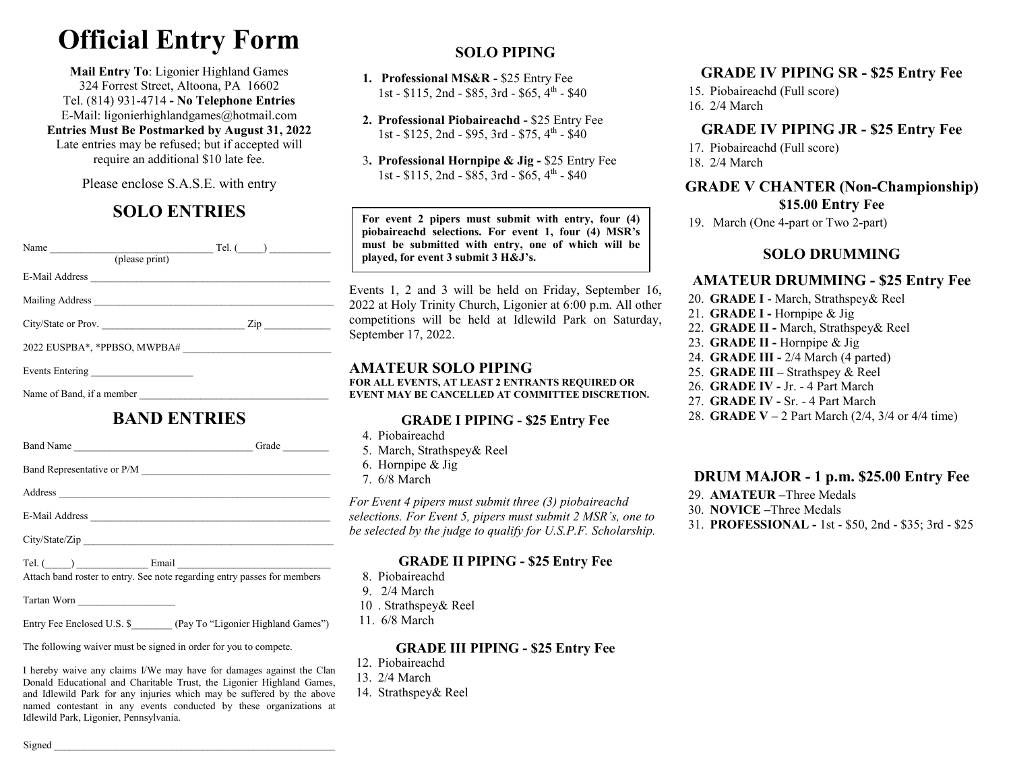# **Official Entry Form**

**Mail Entry To**: Ligonier Highland Games 324 Forrest Street, Altoona, PA 16602 Tel. (814) 931-4714 **- No Telephone Entries** E-Mail: ligonierhighlandgames@hotmail.com

**Entries Must Be Postmarked by August 31, 2022** Late entries may be refused; but if accepted will require an additional \$10 late fee.

Please enclose S.A.S.E. with entry

# **SOLO ENTRIES**

| (please print)            | Tel. ( )          |
|---------------------------|-------------------|
| E-Mail Address            |                   |
|                           |                   |
| City/State or Prov.       | $\mathsf{Zip} \_$ |
|                           |                   |
| Events Entering           |                   |
| Name of Band, if a member |                   |

## **BAND ENTRIES**

| Band Name                                                                                                                                                                              | Grade |
|----------------------------------------------------------------------------------------------------------------------------------------------------------------------------------------|-------|
|                                                                                                                                                                                        |       |
|                                                                                                                                                                                        |       |
|                                                                                                                                                                                        |       |
| City/State/Zip                                                                                                                                                                         |       |
| Tel. $\begin{array}{ c c c c c }\n\hline\n\end{array}$ Email $\begin{array}{ c c c }\n\hline\n\end{array}$<br>Attach band roster to entry. See note regarding entry passes for members |       |
| Tartan Worn                                                                                                                                                                            |       |

Entry Fee Enclosed U.S. \$ (Pay To "Ligonier Highland Games")

The following waiver must be signed in order for you to compete.

I hereby waive any claims I/We may have for damages against the Clan Donald Educational and Charitable Trust, the Ligonier Highland Games, and Idlewild Park for any injuries which may be suffered by the above named contestant in any events conducted by these organizations at Idlewild Park, Ligonier, Pennsylvania.

# **SOLO PIPING**

- **1. Professional MS&R -** \$25 Entry Fee1st - \$115, 2nd - \$85, 3rd - \$65, 4<sup>th</sup> - \$40
	- **2. Professional Piobaireachd -** \$25 Entry Fee1st - \$125, 2nd - \$95, 3rd - \$75,  $4^{\text{th}}$  - \$40
- 3**. Professional Hornpipe & Jig -** \$25 Entry Fee1st - \$115, 2nd - \$85, 3rd - \$65, 4<sup>th</sup> - \$40

**For event 2 pipers must submit with entry, four (4) piobaireachd selections. For event 1, four (4) MSR's must be submitted with entry, one of which will be played, for event 3 submit 3 H&J's.** 

Events 1, 2 and 3 will be held on Friday, September 16, 2022 at Holy Trinity Church, Ligonier at 6:00 p.m. All other competitions will be held at Idlewild Park on Saturday, September 17, 2022.

#### **AMATEUR SOLO PIPING**

 **FOR ALL EVENTS, AT LEAST 2 ENTRANTS REQUIRED OR EVENT MAY BE CANCELLED AT COMMITTEE DISCRETION.** 

#### **GRADE I PIPING - \$25 Entry Fee**

- 4. Piobaireachd
- 5. March, Strathspey& Reel
- 6. Hornpipe & Jig
- 7. 6/8 March

*For Event 4 pipers must submit three (3) piobaireachd selections. For Event 5, pipers must submit 2 MSR's, one to be selected by the judge to qualify for U.S.P.F. Scholarship.* 

#### **GRADE II PIPING - \$25 Entry Fee**

- 8. Piobaireachd
- 9. 2/4 March
- 10 . Strathspey& Reel
- 11. 6/8 March

#### **GRADE III PIPING - \$25 Entry Fee**

- 12. Piobaireachd
- 13. 2/4 March
- 14. Strathspey& Reel

## **GRADE IV PIPING SR - \$25 Entry Fee**

 15. Piobaireachd (Full score) 16. 2/4 March

### **GRADE IV PIPING JR - \$25 Entry Fee**

 17. Piobaireachd (Full score) 18. 2/4 March

**GRADE V CHANTER (Non-Championship) \$15.00 Entry Fee** 

19. March (One 4-part or Two 2-part)

#### **SOLO DRUMMING**

## **AMATEUR DRUMMING - \$25 Entry Fee**

- 20. **GRADE I** March, Strathspey& Reel
- 21. **GRADE I -** Hornpipe & Jig
- 22. **GRADE II -** March, Strathspey& Reel
	- 23. **GRADE II -** Hornpipe & Jig
	- 24. **GRADE III -** 2/4 March (4 parted)
	- 25. **GRADE III –** Strathspey & Reel
	- 26. **GRADE IV -** Jr. 4 Part March
	- 27. **GRADE IV -** Sr. 4 Part March
- 28. **GRADE V –** 2 Part March (2/4, 3/4 or 4/4 time)

## **DRUM MAJOR - 1 p.m. \$25.00 Entry Fee**

- 29. **AMATEUR –**Three Medals
- 30. **NOVICE –**Three Medals
- 31. **PROFESSIONAL -** 1st \$50, 2nd \$35; 3rd \$25